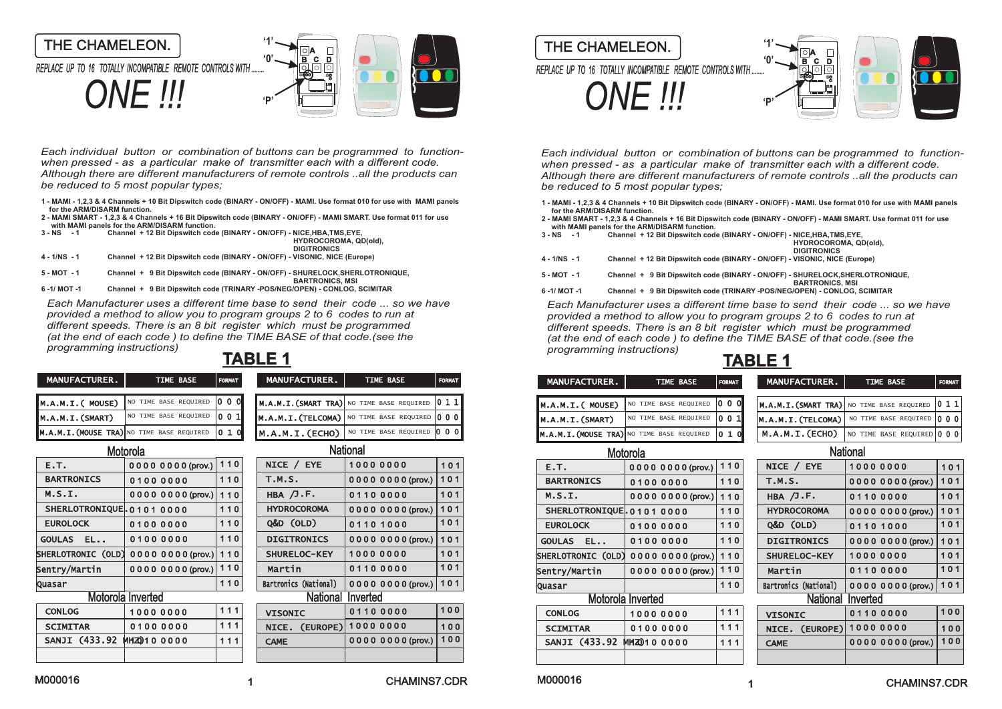

*Each individual button or combination of buttons can be programmed to function when pressed - as a particular make of transmitter each with a different code. Although there are different manufacturers of remote controls ..all the products can be reduced to 5 most popular types;* 

- **1 MAMI 1,2,3 & 4 Channels + 10 Bit Dipswitch code (BINARY ON/OFF) MAMI. Use format 010 for use with MAMI panels for the ARM/DISARM function.**
- **2 MAMI SMART 1,2,3 & 4 Channels + 16 Bit Dipswitch code (BINARY ON/OFF) MAMI SMART. Use format 011 for use with MAMI panels for the ARM/DISARM function. 3 - NS - 1 Channel + 12 Bit Dipswitch code (BINARY - ON/OFF) - NICE,HBA,TMS,EYE,**

|                | Challier T iz Dit Dibswitch Code (DiNART - ON/OFF) - NICE HDA. I W3.ETE.<br><b>HYDROCOROMA, QD(old).</b><br><b>DIGITRONICS</b> |
|----------------|--------------------------------------------------------------------------------------------------------------------------------|
| $4 - 1/NS - 1$ | Channel + 12 Bit Dipswitch code (BINARY - ON/OFF) - VISONIC, NICE (Europe)                                                     |
| $5 - MOT - 1$  | Channel + 9 Bit Dipswitch code (BINARY - ON/OFF) - SHURELOCK, SHERLOTRONIQUE,<br><b>BARTRONICS, MSI</b>                        |
| 6-1/MOT-1      | Channel + 9 Bit Dipswitch code (TRINARY -POS/NEG/OPEN) - CONLOG, SCIMITAR                                                      |

*Each Manufacturer uses a different time base to send their code ... so we have provided a method to allow you to program groups 2 to 6 codes to run at different speeds. There is an 8 bit register which must be programmed (at the end of each code ) to define the TIME BASE of that code.(see the programming instructions)*

| <b>MANUFACTURER</b> | <b>TIME BASE</b>                                      | FORMAT | <b>MANUFACTURER.</b>                                   | <b>TIME BASE</b>            | <b>FORMAT</b> | <b>MANUFACTURER.</b> |  |
|---------------------|-------------------------------------------------------|--------|--------------------------------------------------------|-----------------------------|---------------|----------------------|--|
| M.A.M.I.( MOUSE)    | NO TIME BASE REQUIRED 0 0 0                           |        | $M.A.M.I.(SMARK TRA) $ NO TIME BASE REQUIRED $ 0 1 1 $ |                             |               | M.A.M.I.(MOUSE)      |  |
| M.A.M.I.(SMART)     | NO TIME BASE REQUIRED 0 0 1                           |        | $M.A.M.I.(TELCOMA)$ NO TIME BASE REQUIRED 0 0 0        |                             |               | M.A.M.I.(SMART)      |  |
|                     | $M.A.M.I.(MOUSE TRA)$ No time base required $ 0 1 0 $ |        | M.A.M.I.(ECHO)                                         | NO TIME BASE REQUIRED 0 0 0 |               | M.A.M.I. (MOUSE TRA) |  |

|                           | Motorola                                       |     |                          | National            |       |                                                  | Motorola                     |     |                       | <b>National</b> |
|---------------------------|------------------------------------------------|-----|--------------------------|---------------------|-------|--------------------------------------------------|------------------------------|-----|-----------------------|-----------------|
| E.T.                      | 00000000 (prov.) 110                           |     | NICE / EYE               | 10000000            | $101$ | E.T.                                             | 00000000 (prov.) 110         |     | NICE / EYE            | 10000           |
| <b>BARTRONICS</b>         | 01000000                                       | 110 | T.M.S.                   | 00000000 (prov.)    | 101   | <b>BARTRONICS</b>                                | 01000000                     | 110 | <b>T.M.S.</b>         | 00000           |
| M.S.I.                    | $000000000$ (prov.)   110                      |     | HBA $/J.F.$              | 01100000            | 101   | M.S.I.                                           | $000000000$ (prov.)   110    |     | HBA $/J.F.$           | 01100           |
| SHERLOTRONIQUE. 01010000  |                                                | 110 | <b>HYDROCOROMA</b>       | 0000 0000 (prov.)   | 101   | SHERLOTRONIQUEL01010000                          |                              | 110 | <b>HYDROCOROMA</b>    | 00000           |
| <b>EUROLOCK</b>           | 01000000                                       | 110 | Q&D (OLD)                | 01101000            | 101   | <b>EUROLOCK</b>                                  | 01000000                     | 110 | Q&D (OLD)             | 01101           |
| GOULAS EL                 | 01000000                                       | 110 | <b>DIGITRONICS</b>       | 0000 0000 (prov.)   | 101   | GOULAS EL                                        | 01000000                     | 110 | <b>DIGITRONICS</b>    | 00000           |
|                           | SHERLOTRONIC $(OLD) 0 0 0 0 0 0 0 (prov.)$ 110 |     | SHURELOC-KEY             | 10000000            | 101   | SHERLOTRONIC $(OLD) 0 0 0 0 0 0 0 0 (prov.)$ 110 |                              |     | SHURELOC-KEY          | 10000           |
| Sentry/Martin             | $ 0000000000 $ (prov.)   110                   |     | Martin                   | 01100000            | 101   | Sentry/Martin                                    | $ 0000000000 $ (prov.)   110 |     | Martin                | 01100           |
| Quasar                    |                                                | 110 | Bartronics (National)    | $000000000$ (prov.) | 101   | Quasar                                           |                              | 110 | Bartronics (National) | 0000C           |
|                           | Motorola Inverted                              |     |                          | National Inverted   |       | Motorola Inverted                                |                              |     | National              | Inverted        |
| <b>CONLOG</b>             | 10000000                                       | 111 | <b>VISONIC</b>           | 01100000            | 100   | <b>CONLOG</b>                                    | 10000000                     | 111 | <b>VISONIC</b>        | 01100           |
| <b>SCIMITAR</b>           | 01000000                                       | 111 | NICE. (EUROPE) 1000 0000 |                     | 100   | <b>SCIMITAR</b>                                  | 01000000                     | 111 | NICE. (EUROPE)        | 10000           |
| SANJI (433.92 MHZ)10 0000 |                                                | 111 | <b>CAME</b>              | 0000 0000 (prov.)   | 100   | SANJI (433.92 MHZ010 0000                        |                              | 111 | <b>CAME</b>           | 00000           |
|                           |                                                |     |                          |                     |       |                                                  |                              |     |                       |                 |

| NO TIME BASE REQUIRED     | 010   | M.A.M.I.(ECHO)        | NO TIME BASE REQUIRED 0 0 0 |     | M.A.M.I. (MOUSE TRA) NO TIME BASE REQUIRED |
|---------------------------|-------|-----------------------|-----------------------------|-----|--------------------------------------------|
| rola                      |       |                       | <b>National</b>             |     | Motorola                                   |
| 00000000 (prov.)          | 110   | NICE / EYE            | 10000000                    | 101 | E.T.<br>00000000 (prov.)                   |
| 01000000                  | 110   | <b>T.M.S.</b>         | 0000 0000 (prov.)           | 101 | <b>BARTRONICS</b><br>01000000              |
| $000000000$ (prov.)       | 110   | HBA /J.F.             | 01100000                    | 101 | M.S.I.<br>$000000000$ (prov.)              |
| 01010000                  | $110$ | <b>HYDROCOROMA</b>    | 00000000 (prov.)            | 101 | SHERLOTRONIQUE. 01010000                   |
| 01000000                  | 110   | Q&D (OLD)             | 01101000                    | 101 | <b>EUROLOCK</b><br>01000000                |
| 01000000                  | $110$ | <b>DIGITRONICS</b>    | 00000000 (prov.)            | 101 | 01000000<br>GOULAS EL                      |
| $000000000$ (prov.)   110 |       | SHURELOC-KEY          | 10000000                    | 101 | SHERLOTRONIC (OLD)<br>$000000000$ (prov.)  |
| $000000000$ (prov.)       | 110   | Martin                | 01100000                    | 101 | 00000000 (prov.)<br>Sentry/Martin          |
|                           | 110   | Bartronics (National) | $000000000$ (prov.)         | 101 | Quasar                                     |
| Inverted                  |       | <b>National</b>       | Inverted                    |     | Motorola Inverted                          |
| 10000000                  | 111   | <b>VISONIC</b>        | 01100000                    | 100 | <b>CONLOG</b><br>10000000                  |
| 01000000                  | 111   | NICE. (EUROPE)        | 10000000                    | 100 | 01000000<br><b>SCIMITAR</b>                |
| IMZO) 100000              | 111   | <b>CAME</b>           | 00000000 (prov.)            | 100 | SANJI (433.92)<br>MHZ <sub>0</sub> 100000  |
|                           |       |                       |                             |     |                                            |



*- Each individual button or combination of buttons can be programmed to function when pressed - as a particular make of transmitter each with a different code. Although there are different manufacturers of remote controls ..all the products can be reduced to 5 most popular types;* 

> **1 - MAMI - 1,2,3 & 4 Channels + 10 Bit Dipswitch code (BINARY - ON/OFF) - MAMI. Use format 010 for use with MAMI panels for the ARM/DISARM function.**

**2 - MAMI SMART - 1,2,3 & 4 Channels + 16 Bit Dipswitch code (BINARY - ON/OFF) - MAMI SMART. Use format 011 for use with MAMI panels for the ARM/DISARM function.**

| $3 - NS - 1$   | Channel + 12 Bit Dipswitch code (BINARY - ON/OFF) - NICE.HBA.TMS.EYE.      |
|----------------|----------------------------------------------------------------------------|
|                | <b>HYDROCOROMA, QD(old).</b>                                               |
|                | <b>DIGITRONICS</b>                                                         |
| $4 - 1/NS - 1$ | Channel + 12 Bit Dipswitch code (BINARY - ON/OFF) - VISONIC, NICE (Europe) |
|                |                                                                            |
| $5 - MOT - 1$  | Channel + 9 Bit Dinswitch code (BINARY - ON/OFF) - SHURFLOCK SHERLOTRONIC  |

- **5 MOT 1 Channel + 9 Bit Dipswitch code (BINARY ON/OFF) SHURELOCK,SHERLOTRONIQUE,**
- **BARTRONICS, MSI 6 -1/ MOT -1 Channel + 9 Bit Dipswitch code (TRINARY -POS/NEG/OPEN) CONLOG, SCIMITAR**

*Each Manufacturer uses a different time base to send their code ... so we have provided a method to allow you to program groups 2 to 6 codes to run at different speeds. There is an 8 bit register which must be programmed (at the end of each code ) to define the TIME BASE of that code.(see the programming instructions)*

## **TABLE 1 TABLE 1**

| <b>MANUFACTURER.</b> | <b>TIME BASE</b>                                                      | <b>MANUFACTURER.</b> | <b>TIME BASE</b><br>FORMAT                                                     | <b>MANUFACTURER.</b> | <b>TIME BASE</b><br><b>FORMAT</b>                    | MANUFACTURER N | <b>TIME BASE</b>                                        | <b>FORMAT</b> |
|----------------------|-----------------------------------------------------------------------|----------------------|--------------------------------------------------------------------------------|----------------------|------------------------------------------------------|----------------|---------------------------------------------------------|---------------|
| M.A.M.I.( MOUSE)     | NO TIME BASE REQUIRED 0 0 0                                           |                      | $\blacksquare$ M.A.M.I.(SMART TRA) NO TIME BASE REQUIRED $\vert 0\ 1\ 1 \vert$ | M.A.M.I.(MOUSE)      | $\degree$   no time base required  0 0 0             |                | $ M.A.M.I.(SMARK TRA) $ No time base required $ 0 1 1 $ |               |
| M.A.M.I.(SMART)      | NO TIME BASE REQUIRED $\vert 0\; 0\; 1\vert$                          |                      | $\llbracket$ M.A.M.I.(TELCOMA) NO TIME BASE REQUIRED 0 0 0                     | (M.A.M.I.(SMART))    | NO TIME BASE REQUIRED 0 0 1                          |                | $ M.A.M.I.(TELCOMA) $ NO TIME BASE REQUIRED 0 0 0       |               |
|                      | <b>M.A.M.I.(MOUSE TRA)</b> NO TIME BASE REQUIRED $\vert 0\ 1\ 0\vert$ | M.A.M.I.(ECHO)       | NO TIME BASE REQUIRED 0 0 0                                                    |                      | $M.A.M.I.(MOUSE TRA)$ NO TIME BASE REQUIRED $ 0 1 0$ |                | M.A.M.I. (ECHO)   NO TIME BASE REQUIRED   0 0 0         |               |

| <b>National</b>              |                    |       | Motorola                 |                     | <b>National</b> |                       |                     |     |
|------------------------------|--------------------|-------|--------------------------|---------------------|-----------------|-----------------------|---------------------|-----|
| NICE $/$ EYE                 | 10000000           | $101$ | E.T.                     | 00000000 (prov.)    | $110$           | NICE / EYE            | 10000000            | 101 |
| <b>T.M.S.</b>                | 0000 0000 (prov.)  | 101   | <b>BARTRONICS</b>        | 01000000            | 110             | T.M.S.                | 0000 0000 (prov.)   | 101 |
| HBA $/J.F.$                  | 01100000           | 101   | M.S.I.                   | $000000000$ (prov.) | 110             | HBA $/J.F.$           | 01100000            | 101 |
| <b>HYDROCOROMA</b>           | 0000 0000 (prov.)  | 101   | SHERLOTRONIQUE. 01010000 |                     | 110             | <b>HYDROCOROMA</b>    | 0000 0000 (prov.)   | 101 |
| Q&D (OLD)                    | 01101000           | 101   | <b>EUROLOCK</b>          | 01000000            | 110             | Q&D (OLD)             | 01101000            | 101 |
| <b>DIGITRONICS</b>           | 0000 0000 (prov.)  | 101   | GOULAS EL                | 01000000            | 110             | <b>DIGITRONICS</b>    | $000000000$ (prov.) | 101 |
| SHURELOC-KEY                 | 10000000           | 101   | SHERLOTRONIC (OLD)       | $000000000$ (prov.) | 110             | SHURELOC-KEY          | 10000000            | 101 |
| Martin                       | 01100000           | 101   | Sentry/Martin            | 00000000 (prov.)    | 110             | Martin                | 01100000            | 101 |
| <b>Bartronics (National)</b> | $00000000$ (prov.) | 101   | <b>Quasar</b>            |                     | $110$           | Bartronics (National) | $000000000$ (prov.) | 101 |
| National                     | Inverted           |       |                          | Motorola Inverted   |                 | <b>National</b>       | Inverted            |     |
| <b>VISONIC</b>               | 01100000           | 100   | <b>CONLOG</b>            | 10000000            | 111             | <b>VISONIC</b>        | 01100000            | 100 |
| NICE. (EUROPE)               | 10000000           | 100   | <b>SCIMITAR</b>          | 01000000            | 111             | NICE. (EUROPE)        | 10000000            | 100 |
| <b>CAME</b>                  | 0000 0000 (prov.)  | 100   | SANJI (433.92            | <b>MHZO</b> 100000  | 111             | <b>CAME</b>           | 00000000 (prov.)    | 100 |
|                              |                    |       |                          |                     |                 |                       |                     |     |
|                              |                    |       |                          |                     |                 |                       |                     |     |

| <b>National</b>       |                   |     |  |  |  |  |  |
|-----------------------|-------------------|-----|--|--|--|--|--|
| NICE / EYE            | 10000000          | 101 |  |  |  |  |  |
| <b>T.M.S.</b>         | 00000000 (prov.)  | 101 |  |  |  |  |  |
| HBA /J.F.             | 01100000          | 101 |  |  |  |  |  |
| <b>HYDROCOROMA</b>    | 0000 0000 (prov.) | 101 |  |  |  |  |  |
| Q&D (OLD)             | 01101000          | 101 |  |  |  |  |  |
| <b>DIGITRONICS</b>    | 00000000 (prov.)  | 101 |  |  |  |  |  |
| SHURELOC-KEY          | 10000000          | 101 |  |  |  |  |  |
| Martin                | 01100000          | 101 |  |  |  |  |  |
| Bartronics (National) | 0000 0000 (prov.) | 101 |  |  |  |  |  |
| National Inverted     |                   |     |  |  |  |  |  |
| <b>VISONIC</b>        | 01100000          | 100 |  |  |  |  |  |
| NICE. (EUROPE)        | 10000000          | 100 |  |  |  |  |  |
| <b>CAME</b>           | 0000 0000 (prov.) | 100 |  |  |  |  |  |
|                       |                   |     |  |  |  |  |  |

M000016